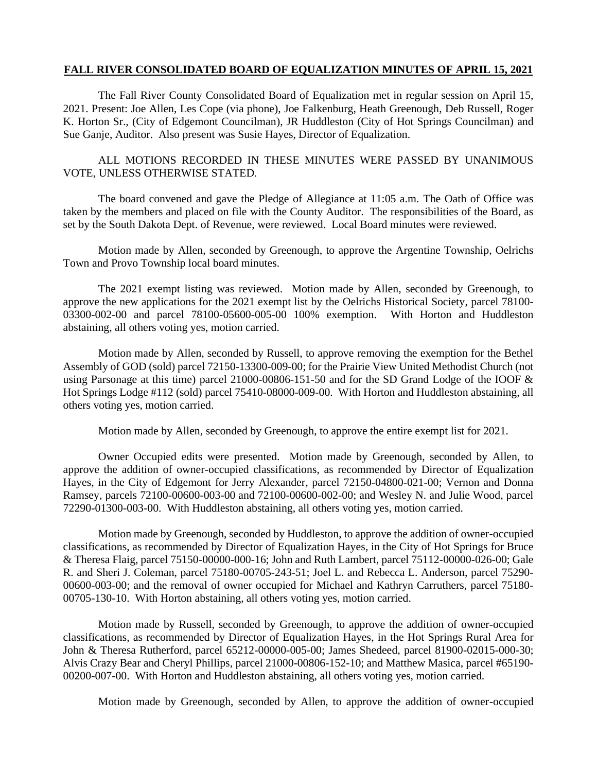## **FALL RIVER CONSOLIDATED BOARD OF EQUALIZATION MINUTES OF APRIL 15, 2021**

The Fall River County Consolidated Board of Equalization met in regular session on April 15, 2021. Present: Joe Allen, Les Cope (via phone), Joe Falkenburg, Heath Greenough, Deb Russell, Roger K. Horton Sr., (City of Edgemont Councilman), JR Huddleston (City of Hot Springs Councilman) and Sue Ganje, Auditor. Also present was Susie Hayes, Director of Equalization.

## ALL MOTIONS RECORDED IN THESE MINUTES WERE PASSED BY UNANIMOUS VOTE, UNLESS OTHERWISE STATED.

The board convened and gave the Pledge of Allegiance at 11:05 a.m. The Oath of Office was taken by the members and placed on file with the County Auditor. The responsibilities of the Board, as set by the South Dakota Dept. of Revenue, were reviewed. Local Board minutes were reviewed.

Motion made by Allen, seconded by Greenough, to approve the Argentine Township, Oelrichs Town and Provo Township local board minutes.

The 2021 exempt listing was reviewed. Motion made by Allen, seconded by Greenough, to approve the new applications for the 2021 exempt list by the Oelrichs Historical Society, parcel 78100- 03300-002-00 and parcel 78100-05600-005-00 100% exemption. With Horton and Huddleston abstaining, all others voting yes, motion carried.

Motion made by Allen, seconded by Russell, to approve removing the exemption for the Bethel Assembly of GOD (sold) parcel 72150-13300-009-00; for the Prairie View United Methodist Church (not using Parsonage at this time) parcel 21000-00806-151-50 and for the SD Grand Lodge of the IOOF & Hot Springs Lodge #112 (sold) parcel 75410-08000-009-00. With Horton and Huddleston abstaining, all others voting yes, motion carried.

Motion made by Allen, seconded by Greenough, to approve the entire exempt list for 2021.

Owner Occupied edits were presented. Motion made by Greenough, seconded by Allen, to approve the addition of owner-occupied classifications, as recommended by Director of Equalization Hayes, in the City of Edgemont for Jerry Alexander, parcel 72150-04800-021-00; Vernon and Donna Ramsey, parcels 72100-00600-003-00 and 72100-00600-002-00; and Wesley N. and Julie Wood, parcel 72290-01300-003-00. With Huddleston abstaining, all others voting yes, motion carried.

Motion made by Greenough, seconded by Huddleston, to approve the addition of owner-occupied classifications, as recommended by Director of Equalization Hayes, in the City of Hot Springs for Bruce & Theresa Flaig, parcel 75150-00000-000-16; John and Ruth Lambert, parcel 75112-00000-026-00; Gale R. and Sheri J. Coleman, parcel 75180-00705-243-51; Joel L. and Rebecca L. Anderson, parcel 75290- 00600-003-00; and the removal of owner occupied for Michael and Kathryn Carruthers, parcel 75180- 00705-130-10. With Horton abstaining, all others voting yes, motion carried.

Motion made by Russell, seconded by Greenough, to approve the addition of owner-occupied classifications, as recommended by Director of Equalization Hayes, in the Hot Springs Rural Area for John & Theresa Rutherford, parcel 65212-00000-005-00; James Shedeed, parcel 81900-02015-000-30; Alvis Crazy Bear and Cheryl Phillips, parcel 21000-00806-152-10; and Matthew Masica, parcel #65190- 00200-007-00. With Horton and Huddleston abstaining, all others voting yes, motion carried.

Motion made by Greenough, seconded by Allen, to approve the addition of owner-occupied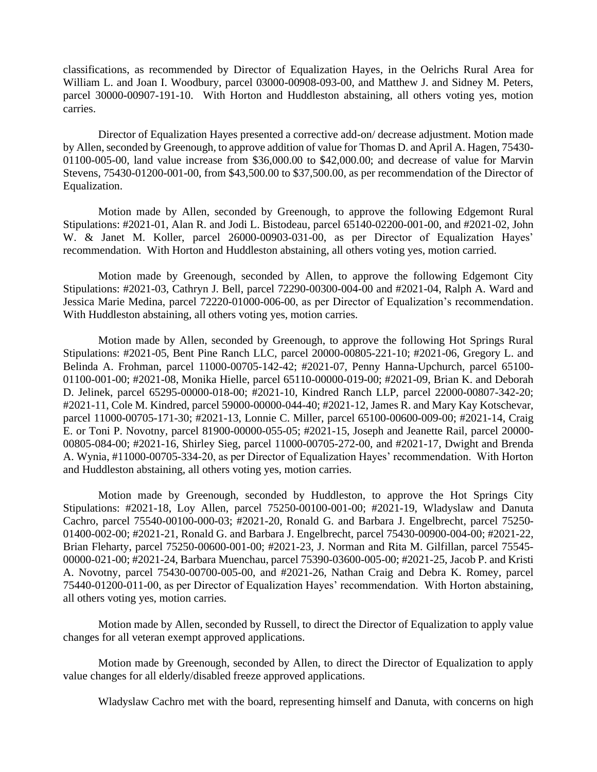classifications, as recommended by Director of Equalization Hayes, in the Oelrichs Rural Area for William L. and Joan I. Woodbury, parcel 03000-00908-093-00, and Matthew J. and Sidney M. Peters, parcel 30000-00907-191-10. With Horton and Huddleston abstaining, all others voting yes, motion carries.

Director of Equalization Hayes presented a corrective add-on/ decrease adjustment. Motion made by Allen, seconded by Greenough, to approve addition of value for Thomas D. and April A. Hagen, 75430- 01100-005-00, land value increase from \$36,000.00 to \$42,000.00; and decrease of value for Marvin Stevens, 75430-01200-001-00, from \$43,500.00 to \$37,500.00, as per recommendation of the Director of Equalization.

Motion made by Allen, seconded by Greenough, to approve the following Edgemont Rural Stipulations: #2021-01, Alan R. and Jodi L. Bistodeau, parcel 65140-02200-001-00, and #2021-02, John W. & Janet M. Koller, parcel 26000-00903-031-00, as per Director of Equalization Hayes' recommendation. With Horton and Huddleston abstaining, all others voting yes, motion carried.

Motion made by Greenough, seconded by Allen, to approve the following Edgemont City Stipulations: #2021-03, Cathryn J. Bell, parcel 72290-00300-004-00 and #2021-04, Ralph A. Ward and Jessica Marie Medina, parcel 72220-01000-006-00, as per Director of Equalization's recommendation. With Huddleston abstaining, all others voting yes, motion carries.

Motion made by Allen, seconded by Greenough, to approve the following Hot Springs Rural Stipulations: #2021-05, Bent Pine Ranch LLC, parcel 20000-00805-221-10; #2021-06, Gregory L. and Belinda A. Frohman, parcel 11000-00705-142-42; #2021-07, Penny Hanna-Upchurch, parcel 65100- 01100-001-00; #2021-08, Monika Hielle, parcel 65110-00000-019-00; #2021-09, Brian K. and Deborah D. Jelinek, parcel 65295-00000-018-00; #2021-10, Kindred Ranch LLP, parcel 22000-00807-342-20; #2021-11, Cole M. Kindred, parcel 59000-00000-044-40; #2021-12, James R. and Mary Kay Kotschevar, parcel 11000-00705-171-30; #2021-13, Lonnie C. Miller, parcel 65100-00600-009-00; #2021-14, Craig E. or Toni P. Novotny, parcel 81900-00000-055-05; #2021-15, Joseph and Jeanette Rail, parcel 20000- 00805-084-00; #2021-16, Shirley Sieg, parcel 11000-00705-272-00, and #2021-17, Dwight and Brenda A. Wynia, #11000-00705-334-20, as per Director of Equalization Hayes' recommendation. With Horton and Huddleston abstaining, all others voting yes, motion carries.

Motion made by Greenough, seconded by Huddleston, to approve the Hot Springs City Stipulations: #2021-18, Loy Allen, parcel 75250-00100-001-00; #2021-19, Wladyslaw and Danuta Cachro, parcel 75540-00100-000-03; #2021-20, Ronald G. and Barbara J. Engelbrecht, parcel 75250- 01400-002-00; #2021-21, Ronald G. and Barbara J. Engelbrecht, parcel 75430-00900-004-00; #2021-22, Brian Fleharty, parcel 75250-00600-001-00; #2021-23, J. Norman and Rita M. Gilfillan, parcel 75545- 00000-021-00; #2021-24, Barbara Muenchau, parcel 75390-03600-005-00; #2021-25, Jacob P. and Kristi A. Novotny, parcel 75430-00700-005-00, and #2021-26, Nathan Craig and Debra K. Romey, parcel 75440-01200-011-00, as per Director of Equalization Hayes' recommendation. With Horton abstaining, all others voting yes, motion carries.

Motion made by Allen, seconded by Russell, to direct the Director of Equalization to apply value changes for all veteran exempt approved applications.

Motion made by Greenough, seconded by Allen, to direct the Director of Equalization to apply value changes for all elderly/disabled freeze approved applications.

Wladyslaw Cachro met with the board, representing himself and Danuta, with concerns on high